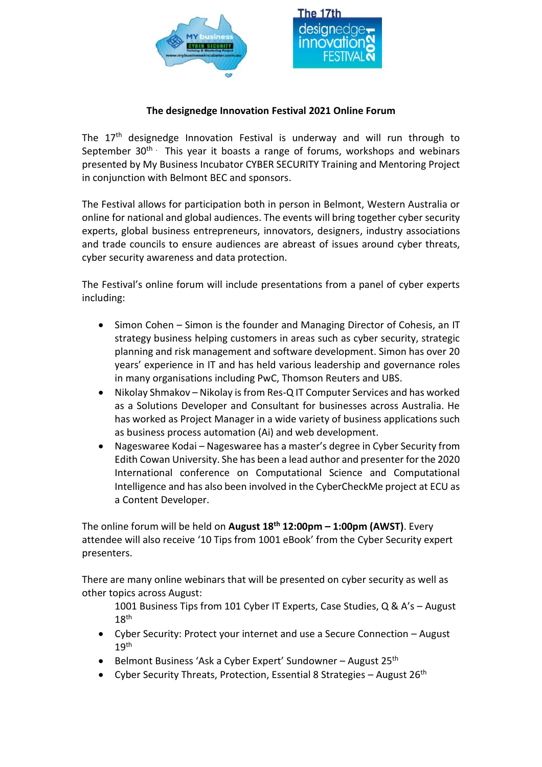



## **The designedge Innovation Festival 2021 Online Forum**

The 17<sup>th</sup> designedge Innovation Festival is underway and will run through to September  $30<sup>th</sup>$ . This year it boasts a range of forums, workshops and webinars presented by My Business Incubator CYBER SECURITY Training and Mentoring Project in conjunction with Belmont BEC and sponsors.

The Festival allows for participation both in person in Belmont, Western Australia or online for national and global audiences. The events will bring together cyber security experts, global business entrepreneurs, innovators, designers, industry associations and trade councils to ensure audiences are abreast of issues around cyber threats, cyber security awareness and data protection.

The Festival's online forum will include presentations from a panel of cyber experts including:

- Simon Cohen Simon is the founder and Managing Director of Cohesis, an IT strategy business helping customers in areas such as cyber security, strategic planning and risk management and software development. Simon has over 20 years' experience in IT and has held various leadership and governance roles in many organisations including PwC, Thomson Reuters and UBS.
- Nikolay Shmakov Nikolay is from Res-Q IT Computer Services and has worked as a Solutions Developer and Consultant for businesses across Australia. He has worked as Project Manager in a wide variety of business applications such as business process automation (Ai) and web development.
- Nageswaree Kodai Nageswaree has a master's degree in Cyber Security from Edith Cowan University. She has been a lead author and presenter for the 2020 International conference on Computational Science and Computational Intelligence and has also been involved in the CyberCheckMe project at ECU as a Content Developer.

The online forum will be held on **August 18th 12:00pm – 1:00pm (AWST)**. Every attendee will also receive '10 Tips from 1001 eBook' from the Cyber Security expert presenters.

There are many online webinars that will be presented on cyber security as well as other topics across August:

1001 Business Tips from 101 Cyber IT Experts, Case Studies, Q & A's – August  $18<sup>th</sup>$ 

- Cyber Security: Protect your internet and use a Secure Connection August 19th
- Belmont Business 'Ask a Cyber Expert' Sundowner August 25<sup>th</sup>
- Cyber Security Threats, Protection, Essential 8 Strategies August  $26<sup>th</sup>$